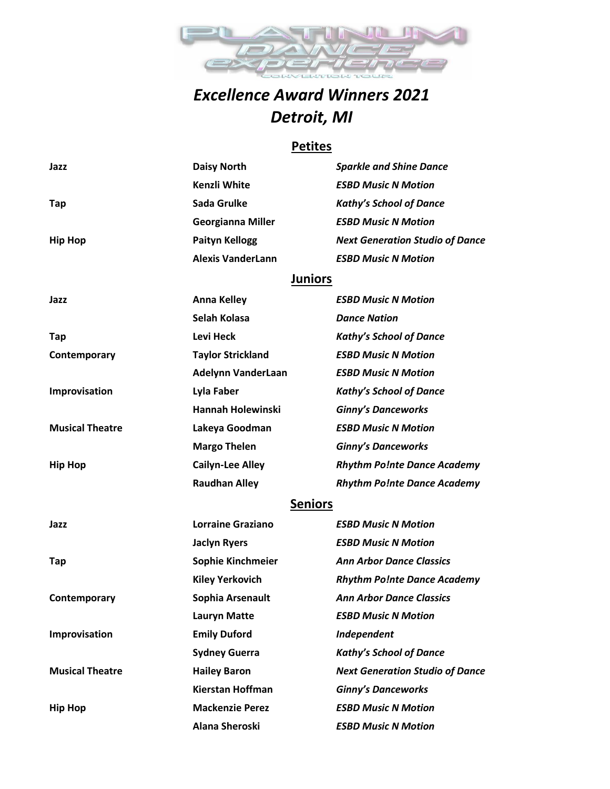

# *Excellence Award Winners 2021 Detroit, MI*

#### **Petites**

| Jazz                   | <b>Daisy North</b>        | <b>Sparkle and Shine Dance</b>         |  |
|------------------------|---------------------------|----------------------------------------|--|
|                        | Kenzli White              | <b>ESBD Music N Motion</b>             |  |
| Tap                    | Sada Grulke               | <b>Kathy's School of Dance</b>         |  |
|                        | <b>Georgianna Miller</b>  | <b>ESBD Music N Motion</b>             |  |
| <b>Hip Hop</b>         | <b>Paityn Kellogg</b>     | <b>Next Generation Studio of Dance</b> |  |
|                        | <b>Alexis VanderLann</b>  | <b>ESBD Music N Motion</b>             |  |
|                        | <b>Juniors</b>            |                                        |  |
| Jazz                   | <b>Anna Kelley</b>        | <b>ESBD Music N Motion</b>             |  |
|                        | Selah Kolasa              | <b>Dance Nation</b>                    |  |
| Tap                    | Levi Heck                 | <b>Kathy's School of Dance</b>         |  |
| Contemporary           | <b>Taylor Strickland</b>  | <b>ESBD Music N Motion</b>             |  |
|                        | <b>Adelynn VanderLaan</b> | <b>ESBD Music N Motion</b>             |  |
| Improvisation          | Lyla Faber                | <b>Kathy's School of Dance</b>         |  |
|                        | <b>Hannah Holewinski</b>  | <b>Ginny's Danceworks</b>              |  |
| <b>Musical Theatre</b> | Lakeya Goodman            | <b>ESBD Music N Motion</b>             |  |
|                        | <b>Margo Thelen</b>       | <b>Ginny's Danceworks</b>              |  |
| <b>Hip Hop</b>         | <b>Cailyn-Lee Alley</b>   | <b>Rhythm Po!nte Dance Academy</b>     |  |
|                        | <b>Raudhan Alley</b>      | <b>Rhythm Po!nte Dance Academy</b>     |  |
|                        | <b>Seniors</b>            |                                        |  |
| Jazz                   | <b>Lorraine Graziano</b>  | <b>ESBD Music N Motion</b>             |  |
|                        | <b>Jaclyn Ryers</b>       | <b>ESBD Music N Motion</b>             |  |
| Tap                    | Sophie Kinchmeier         | <b>Ann Arbor Dance Classics</b>        |  |
|                        | <b>Kiley Yerkovich</b>    | <b>Rhythm Po!nte Dance Academy</b>     |  |
| Contemporary           | Sophia Arsenault          | <b>Ann Arbor Dance Classics</b>        |  |
|                        | <b>Lauryn Matte</b>       | <b>ESBD Music N Motion</b>             |  |
| Improvisation          | <b>Emily Duford</b>       | Independent                            |  |
|                        | <b>Sydney Guerra</b>      | <b>Kathy's School of Dance</b>         |  |
| <b>Musical Theatre</b> | <b>Hailey Baron</b>       | <b>Next Generation Studio of Dance</b> |  |
|                        | <b>Kierstan Hoffman</b>   | <b>Ginny's Danceworks</b>              |  |
| <b>Hip Hop</b>         | <b>Mackenzie Perez</b>    | <b>ESBD Music N Motion</b>             |  |
|                        | Alana Sheroski            | <b>ESBD Music N Motion</b>             |  |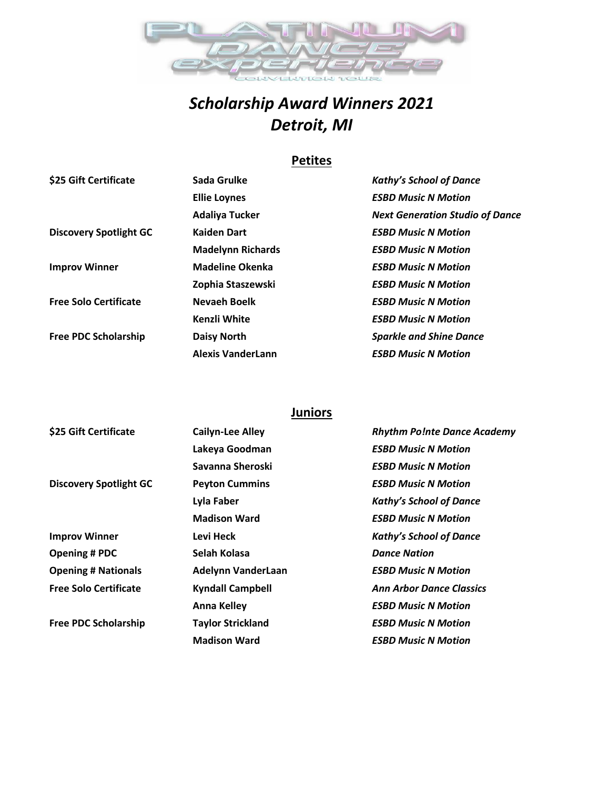

# *Scholarship Award Winners 2021 Detroit, MI*

## **Petites**

| \$25 Gift Certificate         | Sada Grulke              | <b>Kathy's School of Dance</b>         |
|-------------------------------|--------------------------|----------------------------------------|
|                               | <b>Ellie Loynes</b>      | <b>ESBD Music N Motion</b>             |
|                               | <b>Adaliya Tucker</b>    | <b>Next Generation Studio of Dance</b> |
| <b>Discovery Spotlight GC</b> | <b>Kaiden Dart</b>       | <b>ESBD Music N Motion</b>             |
|                               | <b>Madelynn Richards</b> | <b>ESBD Music N Motion</b>             |
| <b>Improv Winner</b>          | <b>Madeline Okenka</b>   | <b>ESBD Music N Motion</b>             |
|                               | Zophia Staszewski        | <b>ESBD Music N Motion</b>             |
| <b>Free Solo Certificate</b>  | <b>Nevaeh Boelk</b>      | <b>ESBD Music N Motion</b>             |
|                               | Kenzli White             | <b>ESBD Music N Motion</b>             |
| <b>Free PDC Scholarship</b>   | <b>Daisy North</b>       | <b>Sparkle and Shine Dance</b>         |
|                               | <b>Alexis VanderLann</b> | <b>ESBD Music N Motion</b>             |

### **Juniors**

| \$25 Gift Certificate         | <b>Cailyn-Lee Alley</b>   | <b>Rhythm Po!nte Dance Academy</b> |
|-------------------------------|---------------------------|------------------------------------|
|                               | Lakeya Goodman            | <b>ESBD Music N Motion</b>         |
|                               | Savanna Sheroski          | <b>ESBD Music N Motion</b>         |
| <b>Discovery Spotlight GC</b> | <b>Peyton Cummins</b>     | <b>ESBD Music N Motion</b>         |
|                               | Lyla Faber                | <b>Kathy's School of Dance</b>     |
|                               | <b>Madison Ward</b>       | <b>ESBD Music N Motion</b>         |
| <b>Improv Winner</b>          | Levi Heck                 | <b>Kathy's School of Dance</b>     |
| <b>Opening # PDC</b>          | Selah Kolasa              | <b>Dance Nation</b>                |
| <b>Opening # Nationals</b>    | <b>Adelynn VanderLaan</b> | <b>ESBD Music N Motion</b>         |
| <b>Free Solo Certificate</b>  | <b>Kyndall Campbell</b>   | <b>Ann Arbor Dance Classics</b>    |
|                               | <b>Anna Kelley</b>        | <b>ESBD Music N Motion</b>         |
| <b>Free PDC Scholarship</b>   | <b>Taylor Strickland</b>  | <b>ESBD Music N Motion</b>         |
|                               | <b>Madison Ward</b>       | <b>ESBD Music N Motion</b>         |
|                               |                           |                                    |